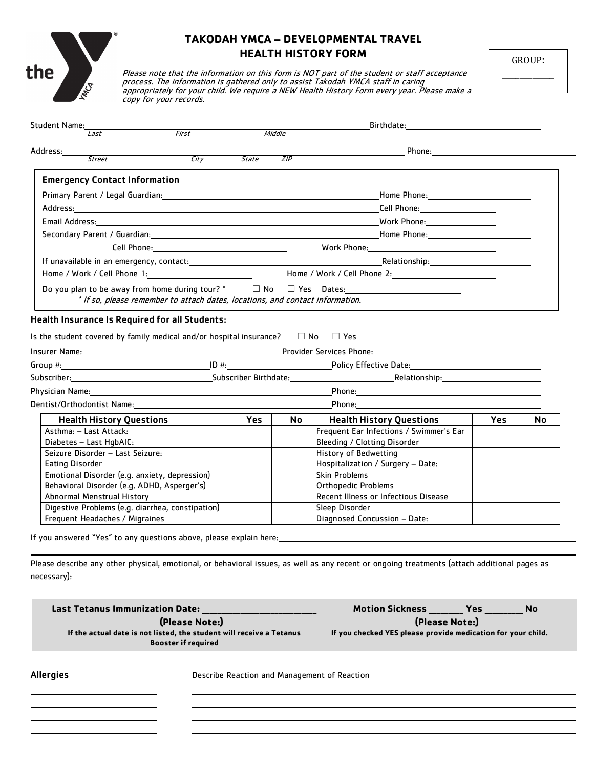

## **TAKODAH YMCA – DEVELOPMENTAL TRAVEL HEALTH HISTORY FORM**

Please note that the information on this form is NOT part of the student or staff acceptance process. The information is gathered only to assist Takodah YMCA staff in caring appropriately for your child. We require a NEW Health History Form every year. Please make a copy for your records.

GROUP: \_\_\_\_\_\_\_\_\_\_\_\_

 $\overline{a}$ 

| Student Name:<br>First<br>Last                                                                                                                                                                                                 |                                               |              | Middle | Birthdate: <u>________________</u>                                                                                                                                                                                                   |            |           |
|--------------------------------------------------------------------------------------------------------------------------------------------------------------------------------------------------------------------------------|-----------------------------------------------|--------------|--------|--------------------------------------------------------------------------------------------------------------------------------------------------------------------------------------------------------------------------------------|------------|-----------|
| Address:                                                                                                                                                                                                                       |                                               |              |        |                                                                                                                                                                                                                                      |            |           |
| <b>Street</b>                                                                                                                                                                                                                  | City                                          | <i>State</i> | ZIP    |                                                                                                                                                                                                                                      |            |           |
| <b>Emergency Contact Information</b>                                                                                                                                                                                           |                                               |              |        |                                                                                                                                                                                                                                      |            |           |
|                                                                                                                                                                                                                                |                                               |              |        |                                                                                                                                                                                                                                      |            |           |
|                                                                                                                                                                                                                                |                                               |              |        |                                                                                                                                                                                                                                      |            |           |
|                                                                                                                                                                                                                                |                                               |              |        | Cell Phone: 1999                                                                                                                                                                                                                     |            |           |
|                                                                                                                                                                                                                                |                                               |              |        |                                                                                                                                                                                                                                      |            |           |
|                                                                                                                                                                                                                                |                                               |              |        | Secondary Parent / Guardian: Notified the Marian Communication of the Marian Communication of the Marian Communication of the Marian Communication of the Marian Communication of the Marian Communication of the Marian Commu       |            |           |
| Cell Phone: and the contract of the contract of the contract of the contract of the contract of the contract of the contract of the contract of the contract of the contract of the contract of the contract of the contract o |                                               |              |        | Work Phone: North Contract Contract Contract Contract Contract Contract Contract Contract Contract Contract Contract Contract Contract Contract Contract Contract Contract Contract Contract Contract Contract Contract Contra       |            |           |
|                                                                                                                                                                                                                                |                                               |              |        |                                                                                                                                                                                                                                      |            |           |
|                                                                                                                                                                                                                                |                                               |              |        |                                                                                                                                                                                                                                      |            |           |
|                                                                                                                                                                                                                                |                                               |              |        | Do you plan to be away from home during tour? $*$ $\Box$ No $\Box$ Yes Dates: $\Box$ No $\Box$ The Dates:                                                                                                                            |            |           |
| * If so, please remember to attach dates, locations, and contact information.                                                                                                                                                  |                                               |              |        |                                                                                                                                                                                                                                      |            |           |
| <b>Health Insurance Is Required for all Students:</b>                                                                                                                                                                          |                                               |              |        |                                                                                                                                                                                                                                      |            |           |
| Is the student covered by family medical and/or hospital insurance? $\square$ No $\square$ Yes                                                                                                                                 |                                               |              |        |                                                                                                                                                                                                                                      |            |           |
|                                                                                                                                                                                                                                |                                               |              |        | Insurer Name: <u>Name: Name: Name: Name: Name: Name: Name: Name: Name: Name: Name: Name: Name: Name: Name: Name: Name: Name: Name: Name: Name: Name: Name: Name: Name: Name: Name: Name: Name: Name: Name: Name: Name: Name: Nam</u> |            |           |
|                                                                                                                                                                                                                                |                                               |              |        |                                                                                                                                                                                                                                      |            |           |
|                                                                                                                                                                                                                                |                                               |              |        |                                                                                                                                                                                                                                      |            |           |
|                                                                                                                                                                                                                                |                                               |              |        |                                                                                                                                                                                                                                      |            |           |
| Dentist/Orthodontist Name:<br><u>Dentist/Orthodontist Name:</u>                                                                                                                                                                |                                               |              |        | Phone: 1999                                                                                                                                                                                                                          |            |           |
|                                                                                                                                                                                                                                |                                               |              |        |                                                                                                                                                                                                                                      | <b>Yes</b> |           |
| <b>Health History Questions</b>                                                                                                                                                                                                |                                               | <b>Yes</b>   | No l   | <b>Health History Questions</b>                                                                                                                                                                                                      |            | Nο        |
| Asthma: - Last Attack:<br>Diabetes - Last HgbAIC:                                                                                                                                                                              |                                               |              |        | Frequent Ear Infections / Swimmer's Ear<br>Bleeding / Clotting Disorder                                                                                                                                                              |            |           |
| Seizure Disorder - Last Seizure:                                                                                                                                                                                               |                                               |              |        | History of Bedwetting                                                                                                                                                                                                                |            |           |
| <b>Eating Disorder</b>                                                                                                                                                                                                         |                                               |              |        | Hospitalization / Surgery - Date:                                                                                                                                                                                                    |            |           |
|                                                                                                                                                                                                                                | Emotional Disorder (e.g. anxiety, depression) |              |        | Skin Problems                                                                                                                                                                                                                        |            |           |
| Behavioral Disorder (e.g. ADHD, Asperger's)                                                                                                                                                                                    |                                               |              |        | Orthopedic Problems                                                                                                                                                                                                                  |            |           |
| Abnormal Menstrual History                                                                                                                                                                                                     |                                               |              |        | Recent Illness or Infectious Disease                                                                                                                                                                                                 |            |           |
| Digestive Problems (e.g. diarrhea, constipation)                                                                                                                                                                               |                                               |              |        | Sleep Disorder                                                                                                                                                                                                                       |            |           |
| Frequent Headaches / Migraines                                                                                                                                                                                                 |                                               |              |        | Diagnosed Concussion - Date:                                                                                                                                                                                                         |            |           |
| If you answered "Yes" to any questions above, please explain here:                                                                                                                                                             |                                               |              |        | Please describe any other physical, emotional, or behavioral issues, as well as any recent or ongoing treatments (attach additional pages as                                                                                         |            |           |
| <b>Last Tetanus Immunization Date:</b>                                                                                                                                                                                         | (Please Note:)                                |              |        | Motion Sickness _______ Yes _______<br>(Please Note:)                                                                                                                                                                                |            | <b>No</b> |
| If the actual date is not listed, the student will receive a Tetanus                                                                                                                                                           | <b>Booster if required</b>                    |              |        | If you checked YES please provide medication for your child.                                                                                                                                                                         |            |           |
| <b>Allergies</b>                                                                                                                                                                                                               |                                               |              |        | Describe Reaction and Management of Reaction                                                                                                                                                                                         |            |           |
|                                                                                                                                                                                                                                |                                               |              |        |                                                                                                                                                                                                                                      |            |           |
|                                                                                                                                                                                                                                |                                               |              |        |                                                                                                                                                                                                                                      |            |           |